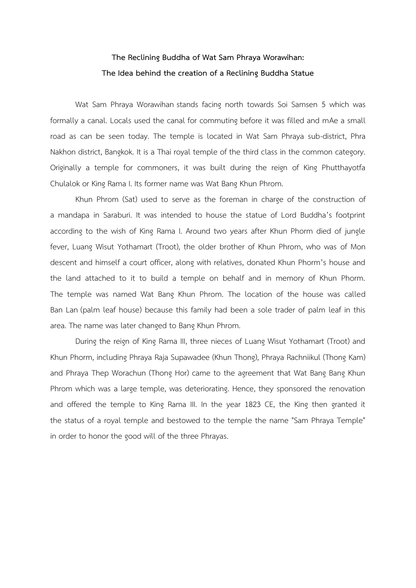# **The Reclining Buddha of Wat Sam Phraya Worawihan: The Idea behind the creation of a Reclining Buddha Statue**

Wat Sam Phraya Worawihan stands facing north towards Soi Samsen 5 which was formally a canal. Locals used the canal for commuting before it was filled and mAe a small road as can be seen today. The temple is located in Wat Sam Phraya sub-district, Phra Nakhon district, Bangkok. It is a Thai royal temple of the third class in the common category. Originally a temple for commoners, it was built during the reign of King Phutthayotfa Chulalok or King Rama I. Its former name was Wat Bang Khun Phrom.

Khun Phrom (Sat) used to serve as the foreman in charge of the construction of a mandapa in Saraburi. It was intended to house the statue of Lord Buddha's footprint according to the wish of King Rama I. Around two years after Khun Phorm died of jungle fever, Luang Wisut Yothamart (Troot), the older brother of Khun Phrom, who was of Mon descent and himself a court officer, along with relatives, donated Khun Phorm's house and the land attached to it to build a temple on behalf and in memory of Khun Phorm. The temple was named Wat Bang Khun Phrom. The location of the house was called Ban Lan (palm leaf house) because this family had been a sole trader of palm leaf in this area. The name was later changed to Bang Khun Phrom.

During the reign of King Rama III, three nieces of Luang Wisut Yothamart (Troot) and Khun Phorm, including Phraya Raja Supawadee (Khun Thong), Phraya Rachniikul (Thong Kam) and Phraya Thep Worachun (Thong Hor) came to the agreement that Wat Bang Bang Khun Phrom which was a large temple, was deteriorating. Hence, they sponsored the renovation and offered the temple to King Rama III. In the year 1823 CE, the King then granted it the status of a royal temple and bestowed to the temple the name "Sam Phraya Temple" in order to honor the good will of the three Phrayas.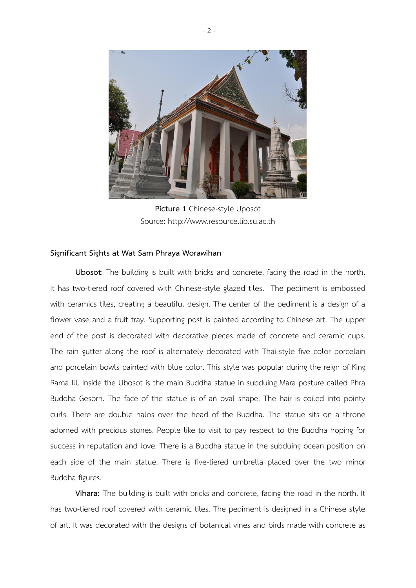

**Picture 1** Chinese-style Uposot Source: http://www.resource.lib.su.ac.th

### **Significant Sights at Wat Sam Phraya Worawihan**

**Ubosot**: The building is built with bricks and concrete, facing the road in the north. It has two-tiered roof covered with Chinese-style glazed tiles. The pediment is embossed with ceramics tiles, creating a beautiful design. The center of the pediment is a design of a flower vase and a fruit tray. Supporting post is painted according to Chinese art. The upper end of the post is decorated with decorative pieces made of concrete and ceramic cups. The rain gutter along the roof is alternately decorated with Thai-style five color porcelain and porcelain bowls painted with blue color. This style was popular during the reign of King Rama Ill. Inside the Ubosot is the main Buddha statue in subduing Mara posture called Phra Buddha Gesorn. The face of the statue is of an oval shape. The hair is coiled into pointy curls. There are double halos over the head of the Buddha. The statue sits on a throne adorned with precious stones. People like to visit to pay respect to the Buddha hoping for success in reputation and love. There is a Buddha statue in the subduing ocean position on each side of the main statue. There is five-tiered umbrella placed over the two minor Buddha figures.

**Vihara:** The building is built with bricks and concrete, facing the road in the north. It has two-tiered roof covered with ceramic tiles. The pediment is designed in a Chinese style of art. It was decorated with the designs of botanical vines and birds made with concrete as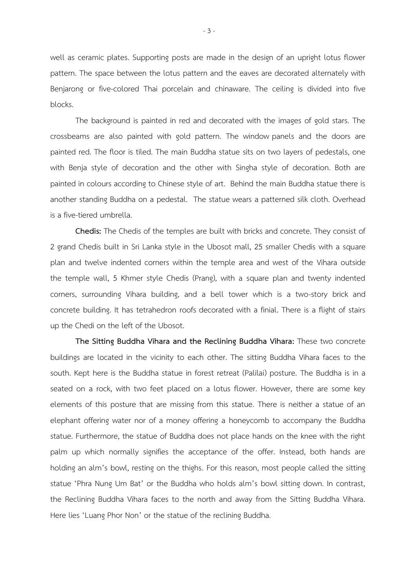well as ceramic plates. Supporting posts are made in the design of an upright lotus flower pattern. The space between the lotus pattern and the eaves are decorated alternately with Benjarong or five-colored Thai porcelain and chinaware. The ceiling is divided into five blocks.

The background is painted in red and decorated with the images of gold stars. The crossbeams are also painted with gold pattern. The window panels and the doors are painted red. The floor is tiled. The main Buddha statue sits on two layers of pedestals, one with Benja style of decoration and the other with Singha style of decoration. Both are painted in colours according to Chinese style of art. Behind the main Buddha statue there is another standing Buddha on a pedestal. The statue wears a patterned silk cloth. Overhead is a five-tiered umbrella.

**Chedis:** The Chedis of the temples are built with bricks and concrete. They consist of 2 grand Chedis built in Sri Lanka style in the Ubosot mall, 25 smaller Chedis with a square plan and twelve indented corners within the temple area and west of the Vihara outside the temple wall, 5 Khmer style Chedis (Prang), with a square plan and twenty indented corners, surrounding Vihara building, and a bell tower which is a two-story brick and concrete building. It has tetrahedron roofs decorated with a finial. There is a flight of stairs up the Chedi on the left of the Ubosot.

**The Sitting Buddha Vihara and the Reclining Buddha Vihara:** These two concrete buildings are located in the vicinity to each other. The sitting Buddha Vihara faces to the south. Kept here is the Buddha statue in forest retreat (Palilai) posture. The Buddha is in a seated on a rock, with two feet placed on a lotus flower. However, there are some key elements of this posture that are missing from this statue. There is neither a statue of an elephant offering water nor of a money offering a honeycomb to accompany the Buddha statue. Furthermore, the statue of Buddha does not place hands on the knee with the right palm up which normally signifies the acceptance of the offer. Instead, both hands are holding an alm's bowl, resting on the thighs. For this reason, most people called the sitting statue 'Phra Nung Um Bat' or the Buddha who holds alm's bowl sitting down. In contrast, the Reclining Buddha Vihara faces to the north and away from the Sitting Buddha Vihara. Here lies 'Luang Phor Non' or the statue of the reclining Buddha.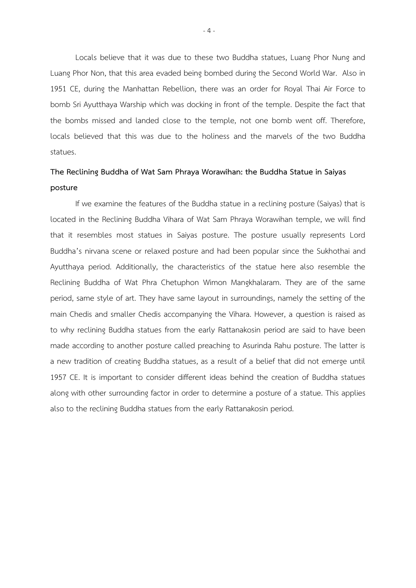Locals believe that it was due to these two Buddha statues, Luang Phor Nung and Luang Phor Non, that this area evaded being bombed during the Second World War. Also in 1951 CE, during the Manhattan Rebellion, there was an order for Royal Thai Air Force to bomb Sri Ayutthaya Warship which was docking in front of the temple. Despite the fact that the bombs missed and landed close to the temple, not one bomb went off. Therefore, locals believed that this was due to the holiness and the marvels of the two Buddha statues.

## **The Reclining Buddha of Wat Sam Phraya Worawihan: the Buddha Statue in Saiyas posture**

If we examine the features of the Buddha statue in a reclining posture (Saiyas) that is located in the Reclining Buddha Vihara of Wat Sam Phraya Worawihan temple, we will find that it resembles most statues in Saiyas posture. The posture usually represents Lord Buddha's nirvana scene or relaxed posture and had been popular since the Sukhothai and Ayutthaya period. Additionally, the characteristics of the statue here also resemble the Reclining Buddha of Wat Phra Chetuphon Wimon Mangkhalaram. They are of the same period, same style of art. They have same layout in surroundings, namely the setting of the main Chedis and smaller Chedis accompanying the Vihara. However, a question is raised as to why reclining Buddha statues from the early Rattanakosin period are said to have been made according to another posture called preaching to Asurinda Rahu posture. The latter is a new tradition of creating Buddha statues, as a result of a belief that did not emerge until 1957 CE. It is important to consider different ideas behind the creation of Buddha statues along with other surrounding factor in order to determine a posture of a statue. This applies also to the reclining Buddha statues from the early Rattanakosin period.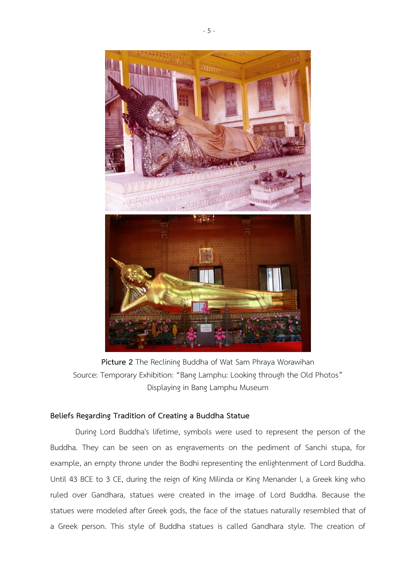

**Picture 2** The Reclining Buddha of Wat Sam Phraya Worawihan Source: Temporary Exhibition: "Bang Lamphu: Looking through the Old Photos" Displaying in Bang Lamphu Museum

## **Beliefs Regarding Tradition of Creating a Buddha Statue**

During Lord Buddha's lifetime, symbols were used to represent the person of the Buddha. They can be seen on as engravements on the pediment of Sanchi stupa, for example, an empty throne under the Bodhi representing the enlightenment of Lord Buddha. Until 43 BCE to 3 CE, during the reign of King Milinda or King Menander I, a Greek king who ruled over Gandhara, statues were created in the image of Lord Buddha. Because the statues were modeled after Greek gods, the face of the statues naturally resembled that of a Greek person. This style of Buddha statues is called Gandhara style. The creation of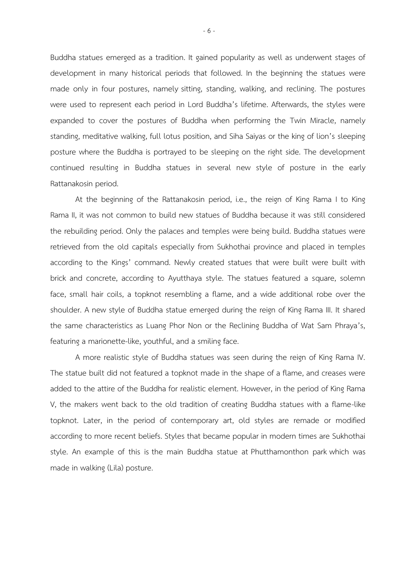Buddha statues emerged as a tradition. It gained popularity as well as underwent stages of development in many historical periods that followed. In the beginning the statues were made only in four postures, namely sitting, standing, walking, and reclining. The postures were used to represent each period in Lord Buddha's lifetime. Afterwards, the styles were expanded to cover the postures of Buddha when performing the Twin Miracle, namely standing, meditative walking, full lotus position, and Siha Saiyas or the king of lion's sleeping posture where the Buddha is portrayed to be sleeping on the right side. The development continued resulting in Buddha statues in several new style of posture in the early Rattanakosin period.

At the beginning of the Rattanakosin period, i.e., the reign of King Rama I to King Rama II, it was not common to build new statues of Buddha because it was still considered the rebuilding period. Only the palaces and temples were being build. Buddha statues were retrieved from the old capitals especially from Sukhothai province and placed in temples according to the Kings' command. Newly created statues that were built were built with brick and concrete, according to Ayutthaya style. The statues featured a square, solemn face, small hair coils, a topknot resembling a flame, and a wide additional robe over the shoulder. A new style of Buddha statue emerged during the reign of King Rama III. It shared the same characteristics as Luang Phor Non or the Reclining Buddha of Wat Sam Phraya's, featuring a marionette-like, youthful, and a smiling face.

A more realistic style of Buddha statues was seen during the reign of King Rama IV. The statue built did not featured a topknot made in the shape of a flame, and creases were added to the attire of the Buddha for realistic element. However, in the period of King Rama V, the makers went back to the old tradition of creating Buddha statues with a flame-like topknot. Later, in the period of contemporary art, old styles are remade or modified according to more recent beliefs. Styles that became popular in modern times are Sukhothai style. An example of this is the main Buddha statue at Phutthamonthon park which was made in walking (Lila) posture.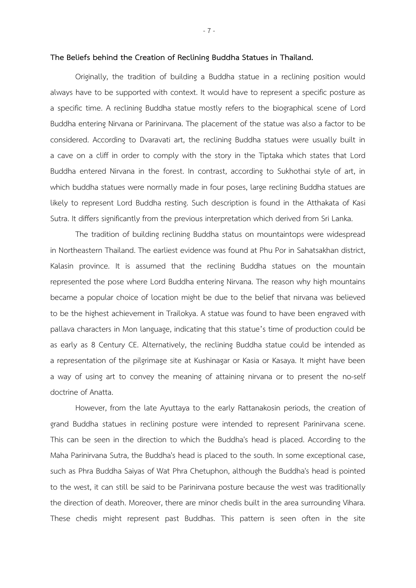#### **The Beliefs behind the Creation of Reclining Buddha Statues in Thailand.**

Originally, the tradition of building a Buddha statue in a reclining position would always have to be supported with context. It would have to represent a specific posture as a specific time. A reclining Buddha statue mostly refers to the biographical scene of Lord Buddha entering Nirvana or Parinirvana. The placement of the statue was also a factor to be considered. According to Dvaravati art, the reclining Buddha statues were usually built in a cave on a cliff in order to comply with the story in the Tiptaka which states that Lord Buddha entered Nirvana in the forest. In contrast, according to Sukhothai style of art, in which buddha statues were normally made in four poses, large reclining Buddha statues are likely to represent Lord Buddha resting. Such description is found in the Atthakata of Kasi Sutra. It differs significantly from the previous interpretation which derived from Sri Lanka.

The tradition of building reclining Buddha status on mountaintops were widespread in Northeastern Thailand. The earliest evidence was found at Phu Por in Sahatsakhan district, Kalasin province. It is assumed that the reclining Buddha statues on the mountain represented the pose where Lord Buddha entering Nirvana. The reason why high mountains became a popular choice of location might be due to the belief that nirvana was believed to be the highest achievement in Trailokya. A statue was found to have been engraved with pallava characters in Mon language, indicating that this statue's time of production could be as early as 8 Century CE. Alternatively, the reclining Buddha statue could be intended as a representation of the pilgrimage site at Kushinagar or Kasia or Kasaya. It might have been a way of using art to convey the meaning of attaining nirvana or to present the no-self doctrine of Anatta.

However, from the late Ayuttaya to the early Rattanakosin periods, the creation of grand Buddha statues in reclining posture were intended to represent Parinirvana scene. This can be seen in the direction to which the Buddha's head is placed. According to the Maha Parinirvana Sutra, the Buddha's head is placed to the south. In some exceptional case, such as Phra Buddha Saiyas of Wat Phra Chetuphon, although the Buddha's head is pointed to the west, it can still be said to be Parinirvana posture because the west was traditionally the direction of death. Moreover, there are minor chedis built in the area surrounding Vihara. These chedis might represent past Buddhas. This pattern is seen often in the site

- 7 -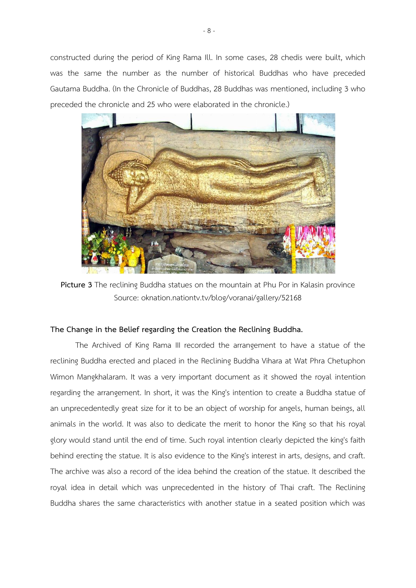constructed during the period of King Rama Ill. In some cases, 28 chedis were built, which was the same the number as the number of historical Buddhas who have preceded Gautama Buddha. (In the Chronicle of Buddhas, 28 Buddhas was mentioned, including 3 who preceded the chronicle and 25 who were elaborated in the chronicle.)



**Picture 3** The reclining Buddha statues on the mountain at Phu Por in Kalasin province Source: oknation.nationtv.tv/blog/voranai/gallery/52168

### **The Change in the Belief regarding the Creation the Reclining Buddha.**

The Archived of King Rama III recorded the arrangement to have a statue of the reclining Buddha erected and placed in the Reclining Buddha Vihara at Wat Phra Chetuphon Wimon Mangkhalaram. It was a very important document as it showed the royal intention regarding the arrangement. In short, it was the King's intention to create a Buddha statue of an unprecedentedly great size for it to be an object of worship for angels, human beings, all animals in the world. It was also to dedicate the merit to honor the King so that his royal glory would stand until the end of time. Such royal intention clearly depicted the king's faith behind erecting the statue. It is also evidence to the King's interest in arts, designs, and craft. The archive was also a record of the idea behind the creation of the statue. It described the royal idea in detail which was unprecedented in the history of Thai craft. The Reclining Buddha shares the same characteristics with another statue in a seated position which was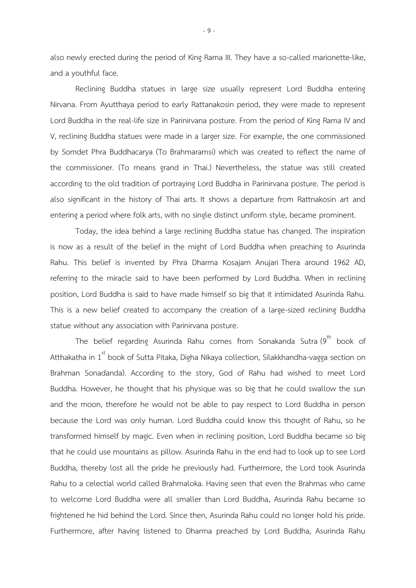also newly erected during the period of King Rama III. They have a so-called marionette-like, and a youthful face.

Reclining Buddha statues in large size usually represent Lord Buddha entering Nirvana. From Ayutthaya period to early Rattanakosin period, they were made to represent Lord Buddha in the real-life size in Parinirvana posture. From the period of King Rama IV and V, reclining Buddha statues were made in a larger size. For example, the one commissioned by Somdet Phra Buddhacarya (To Brahmaramsi) which was created to reflect the name of the commissioner. (To means grand in Thai.) Nevertheless, the statue was still created according to the old tradition of portraying Lord Buddha in Parinirvana posture. The period is also significant in the history of Thai arts. It shows a departure from Rattnakosin art and entering a period where folk arts, with no single distinct uniform style, became prominent.

Today, the idea behind a large reclining Buddha statue has changed. The inspiration is now as a result of the belief in the might of Lord Buddha when preaching to Asurinda Rahu. This belief is invented by Phra Dharma Kosajarn Anujari Thera around 1962 AD, referring to the miracle said to have been performed by Lord Buddha. When in reclining position, Lord Buddha is said to have made himself so big that it intimidated Asurinda Rahu. This is a new belief created to accompany the creation of a large-sized reclining Buddha statue without any association with Parinirvana posture.

The belief regarding Asurinda Rahu comes from Sonakanda Sutra $(9^{th}$  book of Atthakatha in 1<sup>st</sup> book of Sutta Pitaka, Digha Nikaya collection, Silakkhandha-vagga section on Brahman Sonadanda). According to the story, God of Rahu had wished to meet Lord Buddha. However, he thought that his physique was so big that he could swallow the sun and the moon, therefore he would not be able to pay respect to Lord Buddha in person because the Lord was only human. Lord Buddha could know this thought of Rahu, so he transformed himself by magic. Even when in reclining position, Lord Buddha became so big that he could use mountains as pillow. Asurinda Rahu in the end had to look up to see Lord Buddha, thereby lost all the pride he previously had. Furthermore, the Lord took Asurinda Rahu to a celectial world called Brahmaloka. Having seen that even the Brahmas who came to welcome Lord Buddha were all smaller than Lord Buddha, Asurinda Rahu became so frightened he hid behind the Lord. Since then, Asurinda Rahu could no longer hold his pride. Furthermore, after having listened to Dharma preached by Lord Buddha, Asurinda Rahu

- 9 -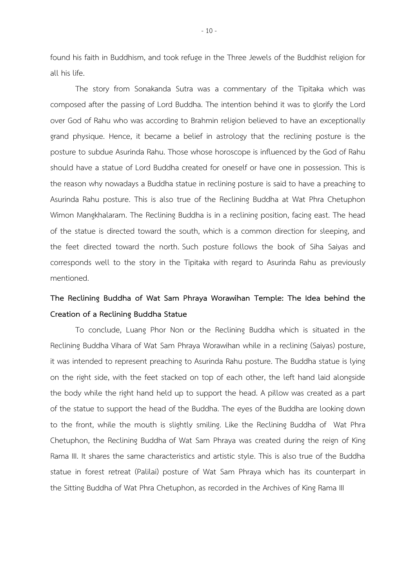found his faith in Buddhism, and took refuge in the Three Jewels of the Buddhist religion for all his life.

The story from Sonakanda Sutra was a commentary of the Tipitaka which was composed after the passing of Lord Buddha. The intention behind it was to glorify the Lord over God of Rahu who was according to Brahmin religion believed to have an exceptionally grand physique. Hence, it became a belief in astrology that the reclining posture is the posture to subdue Asurinda Rahu. Those whose horoscope is influenced by the God of Rahu should have a statue of Lord Buddha created for oneself or have one in possession. This is the reason why nowadays a Buddha statue in reclining posture is said to have a preaching to Asurinda Rahu posture. This is also true of the Reclining Buddha at Wat Phra Chetuphon Wimon Mangkhalaram. The Reclining Buddha is in a reclining position, facing east. The head of the statue is directed toward the south, which is a common direction for sleeping, and the feet directed toward the north. Such posture follows the book of Siha Saiyas and corresponds well to the story in the Tipitaka with regard to Asurinda Rahu as previously mentioned.

## **The Reclining Buddha of Wat Sam Phraya Worawihan Temple: The Idea behind the Creation of a Reclining Buddha Statue**

To conclude, Luang Phor Non or the Reclining Buddha which is situated in the Reclining Buddha Vihara of Wat Sam Phraya Worawihan while in a reclining (Saiyas) posture, it was intended to represent preaching to Asurinda Rahu posture. The Buddha statue is lying on the right side, with the feet stacked on top of each other, the left hand laid alongside the body while the right hand held up to support the head. A pillow was created as a part of the statue to support the head of the Buddha. The eyes of the Buddha are looking down to the front, while the mouth is slightly smiling. Like the Reclining Buddha of Wat Phra Chetuphon, the Reclining Buddha of Wat Sam Phraya was created during the reign of King Rama III. It shares the same characteristics and artistic style. This is also true of the Buddha statue in forest retreat (Palilai) posture of Wat Sam Phraya which has its counterpart in the Sitting Buddha of Wat Phra Chetuphon, as recorded in the Archives of King Rama III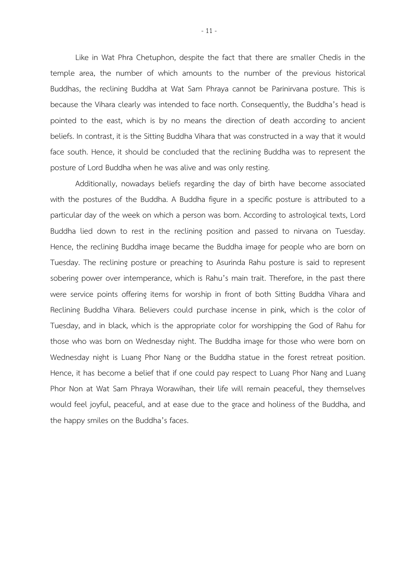Like in Wat Phra Chetuphon, despite the fact that there are smaller Chedis in the temple area, the number of which amounts to the number of the previous historical Buddhas, the reclining Buddha at Wat Sam Phraya cannot be Parinirvana posture. This is because the Vihara clearly was intended to face north. Consequently, the Buddha's head is pointed to the east, which is by no means the direction of death according to ancient beliefs. In contrast, it is the Sitting Buddha Vihara that was constructed in a way that it would face south. Hence, it should be concluded that the reclining Buddha was to represent the posture of Lord Buddha when he was alive and was only resting.

Additionally, nowadays beliefs regarding the day of birth have become associated with the postures of the Buddha. A Buddha figure in a specific posture is attributed to a particular day of the week on which a person was born. According to astrological texts, Lord Buddha lied down to rest in the reclining position and passed to nirvana on Tuesday. Hence, the reclining Buddha image became the Buddha image for people who are born on Tuesday. The reclining posture or preaching to Asurinda Rahu posture is said to represent sobering power over intemperance, which is Rahu's main trait. Therefore, in the past there were service points offering items for worship in front of both Sitting Buddha Vihara and Reclining Buddha Vihara. Believers could purchase incense in pink, which is the color of Tuesday, and in black, which is the appropriate color for worshipping the God of Rahu for those who was born on Wednesday night. The Buddha image for those who were born on Wednesday night is Luang Phor Nang or the Buddha statue in the forest retreat position. Hence, it has become a belief that if one could pay respect to Luang Phor Nang and Luang Phor Non at Wat Sam Phraya Worawihan, their life will remain peaceful, they themselves would feel joyful, peaceful, and at ease due to the grace and holiness of the Buddha, and the happy smiles on the Buddha's faces.